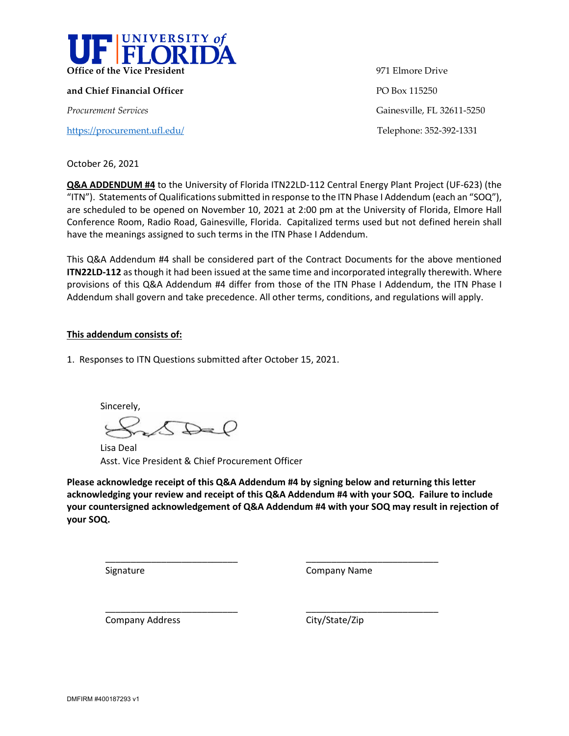

**and Chief Financial Officer PO Box 115250** 

<https://procurement.ufl.edu/>Telephone: 352-392-1331

**Office of the Vice President** 971 Elmore Drive *Procurement Services* Gainesville, FL 32611-5250

October 26, 2021

**Q&A ADDENDUM #4** to the University of Florida ITN22LD-112 Central Energy Plant Project (UF-623) (the "ITN"). Statements of Qualifications submitted in response to the ITN Phase I Addendum (each an "SOQ"), are scheduled to be opened on November 10, 2021 at 2:00 pm at the University of Florida, Elmore Hall Conference Room, Radio Road, Gainesville, Florida. Capitalized terms used but not defined herein shall have the meanings assigned to such terms in the ITN Phase I Addendum.

This Q&A Addendum #4 shall be considered part of the Contract Documents for the above mentioned **ITN22LD-112** as though it had been issued at the same time and incorporated integrally therewith. Where provisions of this Q&A Addendum #4 differ from those of the ITN Phase I Addendum, the ITN Phase I Addendum shall govern and take precedence. All other terms, conditions, and regulations will apply.

## **This addendum consists of:**

1. Responses to ITN Questions submitted after October 15, 2021.

Sincerely,  $\bigcirc$ 

\_\_\_\_\_\_\_\_\_\_\_\_\_\_\_\_\_\_\_\_\_\_\_\_\_\_

\_\_\_\_\_\_\_\_\_\_\_\_\_\_\_\_\_\_\_\_\_\_\_\_\_\_

Lisa Deal Asst. Vice President & Chief Procurement Officer

**Please acknowledge receipt of this Q&A Addendum #4 by signing below and returning this letter acknowledging your review and receipt of this Q&A Addendum #4 with your SOQ. Failure to include your countersigned acknowledgement of Q&A Addendum #4 with your SOQ may result in rejection of your SOQ.**

Signature

Company Name

\_\_\_\_\_\_\_\_\_\_\_\_\_\_\_\_\_\_\_\_\_\_\_\_\_\_

\_\_\_\_\_\_\_\_\_\_\_\_\_\_\_\_\_\_\_\_\_\_\_\_\_\_

Company Address

City/State/Zip